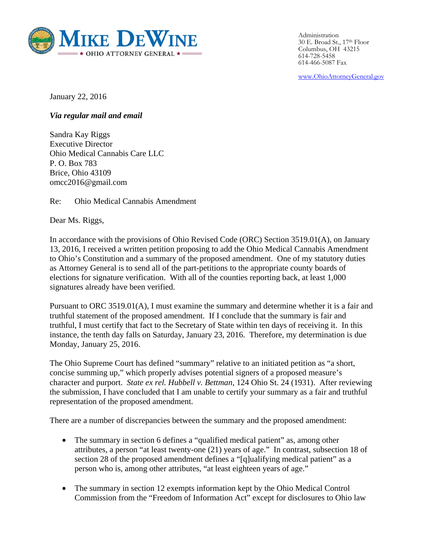

Administration 30 E. Broad St., 17th Floor Columbus, OH 43215 614-728-5458 614-466-5087 Fax

www.OhioAttorneyGeneral.gov

January 22, 2016

*Via regular mail and email* 

Sandra Kay Riggs Executive Director Ohio Medical Cannabis Care LLC P. O. Box 783 Brice, Ohio 43109 omcc2016@gmail.com

Re: Ohio Medical Cannabis Amendment

Dear Ms. Riggs,

In accordance with the provisions of Ohio Revised Code (ORC) Section 3519.01(A), on January 13, 2016, I received a written petition proposing to add the Ohio Medical Cannabis Amendment to Ohio's Constitution and a summary of the proposed amendment. One of my statutory duties as Attorney General is to send all of the part-petitions to the appropriate county boards of elections for signature verification. With all of the counties reporting back, at least 1,000 signatures already have been verified.

Pursuant to ORC 3519.01(A), I must examine the summary and determine whether it is a fair and truthful statement of the proposed amendment. If I conclude that the summary is fair and truthful, I must certify that fact to the Secretary of State within ten days of receiving it. In this instance, the tenth day falls on Saturday, January 23, 2016. Therefore, my determination is due Monday, January 25, 2016.

The Ohio Supreme Court has defined "summary" relative to an initiated petition as "a short, concise summing up," which properly advises potential signers of a proposed measure's character and purport. *State ex rel. Hubbell v. Bettman*, 124 Ohio St. 24 (1931). After reviewing the submission, I have concluded that I am unable to certify your summary as a fair and truthful representation of the proposed amendment.

There are a number of discrepancies between the summary and the proposed amendment:

- The summary in section 6 defines a "qualified medical patient" as, among other attributes, a person "at least twenty-one (21) years of age." In contrast, subsection 18 of section 28 of the proposed amendment defines a "[q]ualifying medical patient" as a person who is, among other attributes, "at least eighteen years of age."
- The summary in section 12 exempts information kept by the Ohio Medical Control Commission from the "Freedom of Information Act" except for disclosures to Ohio law